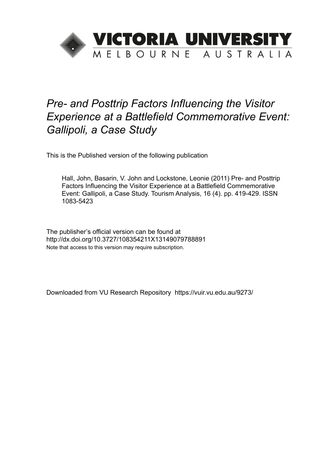

# *Pre- and Posttrip Factors Influencing the Visitor Experience at a Battlefield Commemorative Event: Gallipoli, a Case Study*

This is the Published version of the following publication

Hall, John, Basarin, V. John and Lockstone, Leonie (2011) Pre- and Posttrip Factors Influencing the Visitor Experience at a Battlefield Commemorative Event: Gallipoli, a Case Study. Tourism Analysis, 16 (4). pp. 419-429. ISSN 1083-5423

The publisher's official version can be found at http://dx.doi.org/10.3727/108354211X13149079788891 Note that access to this version may require subscription.

Downloaded from VU Research Repository https://vuir.vu.edu.au/9273/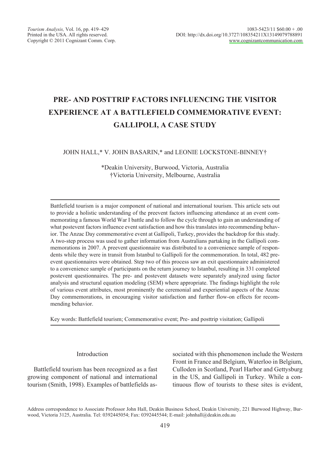# PRE- AND POSTTRIP FACTORS INFLUENCING THE VISITOR **EXPERIENCE AT A BATTLEFIELD COMMEMORATIVE EVENT: GALLIPOLI, A CASE STUDY**

JOHN HALL,\* V. JOHN BASARIN,\* and LEONIE LOCKSTONE-BINNEY†

\*Deakin University, Burwood, Victoria, Australia †Victoria University, Melbourne, Australia

Battlefield tourism is a major component of national and international tourism. This article sets out to provide a holistic understanding of the preevent factors influencing attendance at an event commemorating a famous World War I battle and to follow the cycle through to gain an understanding of what postevent factors influence event satisfaction and how this translates into recommending behavior. The Anzac Day commemorative event at Gallipoli, Turkey, provides the backdrop for this study. A two-step process was used to gather information from Australians partaking in the Gallipoli commemorations in 2007. A preevent questionnaire was distributed to a convenience sample of respondents while they were in transit from Istanbul to Gallipoli for the commemoration. In total, 482 preevent questionnaires were obtained. Step two of this process saw an exit questionnaire administered to a convenience sample of participants on the return journey to Istanbul, resulting in 331 completed postevent questionnaires. The pre- and postevent datasets were separately analyzed using factor analysis and structural equation modeling (SEM) where appropriate. The findings highlight the role of various event attributes, most prominently the ceremonial and experiential aspects of the Anzac Day commemorations, in encouraging visitor satisfaction and further flow-on effects for recommending behavior.

Key words: Battlefield tourism; Commemorative event; Pre- and posttrip visitation; Gallipoli

# Introduction

Battlefield tourism has been recognized as a fast growing component of national and international tourism (Smith, 1998). Examples of battlefields associated with this phenomenon include the Western Front in France and Belgium, Waterloo in Belgium, Culloden in Scotland, Pearl Harbor and Gettysburg in the US, and Gallipoli in Turkey. While a continuous flow of tourists to these sites is evident.

Address correspondence to Associate Professor John Hall, Deakin Business School, Deakin University, 221 Burwood Highway, Burwood, Victoria 3125, Australia. Tel: 0392445054; Fax: 0392445544; E-mail: johnhall@deakin.edu.au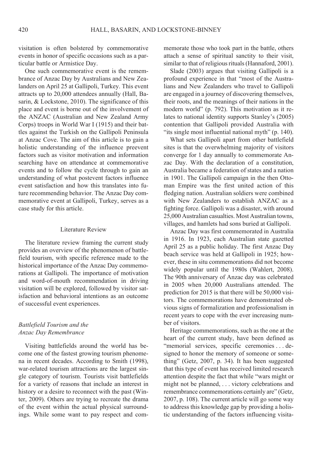visitation is often bolstered by commemorative events in honor of specific occasions such as a particular battle or Armistice Day.

One such commemorative event is the remembrance of Anzac Day by Australians and New Zealanders on April 25 at Gallipoli, Turkey. This event attracts up to 20,000 attendees annually (Hall, Basarin,  $&$  Lockstone, 2010). The significance of this place and event is borne out of the involvement of the ANZAC (Australian and New Zealand Army Corps) troops in World War I (1915) and their battles against the Turkish on the Gallipoli Peninsula at Anzac Cove. The aim of this article is to gain a holistic understanding of the influence preevent factors such as visitor motivation and information searching have on attendance at commemorative events and to follow the cycle through to gain an understanding of what postevent factors influence event satisfaction and how this translates into future recommending behavior. The Anzac Day commemorative event at Gallipoli, Turkey, serves as a case study for this article.

### Literature Review

The literature review framing the current study provides an overview of the phenomenon of battlefield tourism, with specific reference made to the historical importance of the Anzac Day commemorations at Gallipoli. The importance of motivation and word-of-mouth recommendation in driving visitation will be explored, followed by visitor satisfaction and behavioral intentions as an outcome of successful event experiences.

# Battlefield Tourism and the Anzac Day Remembrance

Visiting battlefields around the world has become one of the fastest growing tourism phenomena in recent decades. According to Smith (1998), war-related tourism attractions are the largest single category of tourism. Tourists visit battlefields for a variety of reasons that include an interest in history or a desire to reconnect with the past (Winter, 2009). Others are trying to recreate the drama of the event within the actual physical surroundings. While some want to pay respect and com-

memorate those who took part in the battle, others attach a sense of spiritual sanctity to their visit, similar to that of religious rituals (Hannaford, 2001).

Slade  $(2003)$  argues that visiting Gallipoli is a profound experience in that "most of the Australians and New Zealanders who travel to Gallipoli are engaged in a journey of discovering themselves, their roots, and the meanings of their nations in the modern world" (p. 792). This motivation as it relates to national identity supports Stanley's (2005) contention that Gallipoli provided Australia with "its single most influential national myth" (p. 140).

What sets Gallipoli apart from other battlefield sites is that the overwhelming majority of visitors converge for 1 day annually to commemorate Anzac Day. With the declaration of a constitution. Australia became a federation of states and a nation in 1901. The Gallipoli campaign in the then Ottoman Empire was the first united action of this fledging nation. Australian soldiers were combined with New Zealanders to establish ANZAC as a fighting force. Gallipoli was a disaster, with around 25,000 Australian casualties. Most Australian towns, villages, and hamlets had sons buried at Gallipoli.

Anzac Day was first commemorated in Australia in 1916. In 1923, each Australian state gazetted April 25 as a public holiday. The first Anzac Day beach service was held at Gallipoli in 1925; however, these in situ commemorations did not become widely popular until the 1980s (Wahlert, 2008). The 90th anniversary of Anzac day was celebrated in 2005 when 20,000 Australians attended. The prediction for  $2015$  is that there will be 50,000 visitors. The commemorations have demonstrated obvious signs of formalization and professionalism in recent years to cope with the ever increasing number of visitors.

Heritage commemorations, such as the one at the heart of the current study, have been defined as "memorial services, specific ceremonies...designed to honor the memory of someone or something" (Getz, 2007, p. 34). It has been suggested that this type of event has received limited research attention despite the fact that while "wars might or might not be planned, ... victory celebrations and remembrance commemorations certainly are" (Getz, 2007, p. 108). The current article will go some way to address this knowledge gap by providing a holistic understanding of the factors influencing visita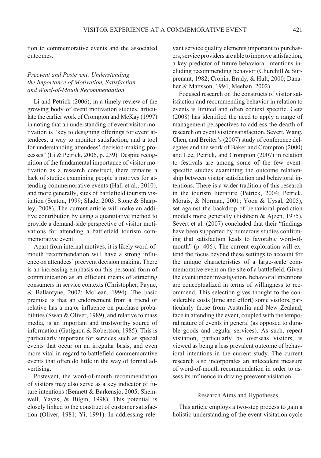tion to commemorative events and the associated *outcomes* 

# Preevent and Postevent: Understanding the Importance of Motivation, Satisfaction and Word-of-Mouth Recommendation

Li and Petrick (2006), in a timely review of the growing body of event motivation studies, articulate the earlier work of Crompton and McKay (1997) in noting that an understanding of event visitor motivation is "key to designing offerings for event attendees, a way to monitor satisfaction, and a tool for understanding attendees' decision-making processes" (Li & Petrick, 2006, p. 239). Despite recognition of the fundamental importance of visitor motivation as a research construct there remains a lack of studies examining people's motives for attending commemorative events (Hall et al., 2010), and more generally, sites of battlefield tourism visitation (Seaton, 1999; Slade, 2003; Stone & Sharpley, 2008). The current article will make an additive contribution by using a quantitative method to provide a demand-side perspective of visitor motivations for attending a battlefield tourism commemorative event

Apart from internal motives, it is likely word-ofmouth recommendation will have a strong influence on attendees' preevent decision making. There is an increasing emphasis on this personal form of communication as an efficient means of attracting consumers in service contexts (Christopher, Payne, & Ballantyne, 2002; McLean, 1994). The basic premise is that an endorsement from a friend or relative has a major influence on purchase probabilities (Swan & Oliver, 1989), and relative to mass media, is an important and trustworthy source of information (Gatignon & Robertson, 1985). This is particularly important for services such as special events that occur on an irregular basis, and even more vital in regard to battlefield commemorative events that often do little in the way of formal advertising.

Postevent, the word-of-mouth recommendation of visitors may also serve as a key indicator of future intentions (Bennett & Barkensjo, 2005; Shemwell, Yayas, & Bilgin, 1998). This potential is closely linked to the construct of customer satisfaction (Oliver, 1981; Yi, 1991). In addressing rele-

vant service quality elements important to purchasers, service providers are able to improve satisfaction, a key predictor of future behavioral intentions including recommending behavior (Churchill & Surprenant, 1982; Cronin, Brady, & Hult, 2000; Danaher & Mattsson, 1994; Meehan, 2002).

Focused research on the constructs of visitor satisfaction and recommending behavior in relation to events is limited and often context specific. Getz  $(2008)$  has identified the need to apply a range of management perspectives to address the dearth of research on event visitor satisfaction. Severt, Wang. Chen, and Breiter's (2007) study of conference delegates and the work of Baker and Crompton (2000) and Lee, Petrick, and Crompton (2007) in relation to festivals are among some of the few eventspecific studies examining the outcome relationship between visitor satisfaction and behavioral intentions. There is a wider tradition of this research in the tourism literature (Petrick, 2004; Petrick, Morais, & Norman, 2001; Yoon & Uysal, 2005), set against the backdrop of behavioral prediction models more generally (Fishbein & Ajzen, 1975).<br>Severt et al. (2007) concluded that their "findings have been supported by numerous studies confirming that satisfaction leads to favorable word-ofmouth" (p. 406). The current exploration will extend the focus beyond these settings to account for the unique characteristics of a large-scale commemorative event on the site of a battlefield. Given the event under investigation, behavioral intentions are conceptualized in terms of willingness to recommend. This selection gives thought to the considerable costs (time and effort) some visitors, particularly those from Australia and New Zealand, face in attending the event, coupled with the temporal nature of events in general (as opposed to durable goods and regular services). As such, repeat visitation, particularly by overseas visitors, is viewed as being a less prevalent outcome of behavioral intentions in the current study. The current research also incorporates an antecedent measure of word-of-mouth recommendation in order to assess its influence in driving preevent visitation.

#### Research Aims and Hypotheses

This article employs a two-step process to gain a holistic understanding of the event visitation cycle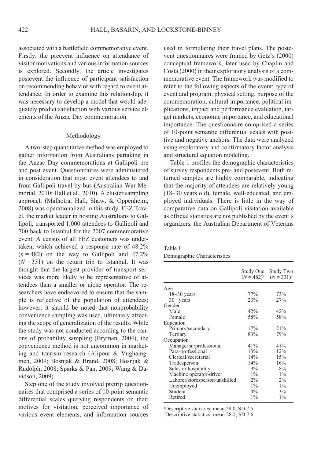associated with a battlefield commemorative event. Firstly, the preevent influence on attendance of visitor motivations and various information sources is explored. Secondly, the article investigates postevent the influence of participant satisfaction on recommending behavior with regard to event attendance. In order to examine this relationship, it was necessary to develop a model that would adequately predict satisfaction with various service elements of the Anzac Day commemoration.

#### Methodology

A two-step quantitative method was employed to gather information from Australians partaking in the Anzac Day commemorations at Gallipoli pre and post event. Ouestionnaires were administered in consideration that most event attendees to and from Gallipoli travel by bus (Australian War Memorial, 2010; Hall et al., 2010). A cluster sampling approach (Malhotra, Hall, Shaw, & Oppenheim, 2008) was operationalized in this study. FEZ Travel, the market leader in hosting Australians to Gallipoli, transported 1,000 attendees to Gallipoli and 700 back to Istanbul for the 2007 commemorative event A census of all FEZ customers was undertaken, which achieved a response rate of 48.2%  $(n = 482)$  on the way to Gallipoli and 47.2%  $(N=331)$  on the return trip to Istanbul. It was thought that the largest provider of transport services was more likely to be representative of attendees than a smaller or niche operator. The researchers have endeavored to ensure that the sample is reflective of the population of attendees; however, it should be noted that nonprobability convenience sampling was used, ultimately affecting the scope of generalization of the results. While the study was not conducted according to the canons of probability sampling (Bryman, 2004), the convenience method is not uncommon in marketing and tourism research (Alipour & Vughaingmeh, 2009; Bosnjak & Brand, 2008; Bosnjak & Rudolph, 2008; Sparks & Pan, 2009; Wang & Davidson, 2009).

Step one of the study involved pretrip questionnaires that comprised a series of 10-point semantic differential scales querying respondents on their motives for visitation, perceived importance of various event elements, and information sources

used in formulating their travel plans. The postevent questionnaires were framed by Getz's (2000) conceptual framework, later used by Chaplin and  $Costa (2000)$  in their exploratory analysis of a commemorative event. The framework was modified to refer to the following aspects of the event: type of event and program, physical setting, purpose of the commemoration, cultural importance, political implications, impact and performance evaluation, target markets, economic importance, and educational importance. The questionnaire comprised a series of 10-point semantic differential scales with positive and negative anchors. The data were analyzed using exploratory and confirmatory factor analysis and structural equation modeling.

Table 1 profiles the demographic characteristics of survey respondents pre- and postevent. Both returned samples are highly comparable, indicating that the majority of attendees are relatively young (18-30 years old), female, well-educated, and employed individuals. There is little in the way of comparative data on Gallipoli visitation available as official statistics are not published by the event's organizers, the Australian Department of Veterans

#### Table 1

Demographic Characteristics

|                                | Study One<br>$(N = 482)^{a}$ | Study Two<br>$(N = 331)^{b}$ |
|--------------------------------|------------------------------|------------------------------|
| Age                            |                              |                              |
| $18 - 30$ years                | 77%                          | 73%                          |
| $30+$ years                    | 23%                          | 27%                          |
| Gender                         |                              |                              |
| Male                           | 42%                          | 42%                          |
| Female                         | 58%                          | 58%                          |
| Education                      |                              |                              |
| Primary/secondary              | 17%                          | 21%                          |
| Tertiary                       | 83%                          | 79%                          |
| Occupation                     |                              |                              |
| Managerial/professional        | 41%                          | 41%                          |
| Para-professional              | 13%                          | 12%                          |
| Clerical/secretarial           | 14%                          | 15%                          |
| Tradesperson                   | 14%                          | 16%                          |
| Sales or hospitality           | 9%                           | 8%                           |
| Machine operator-driver        | $1\%$                        | $1\%$                        |
| Laborer/storesperson/unskilled | $2\%$                        | $2\%$                        |
| Unemployed                     | $1\%$                        | $1\%$                        |
| Student                        | $4\%$                        | 3%                           |
| Retired                        | $1\%$                        | $1\%$                        |

<sup>a</sup>Descriptive statistics: mean 28.0, SD 7.5.

<sup>b</sup>Descriptive statistics: mean 28.2, SD 7.6.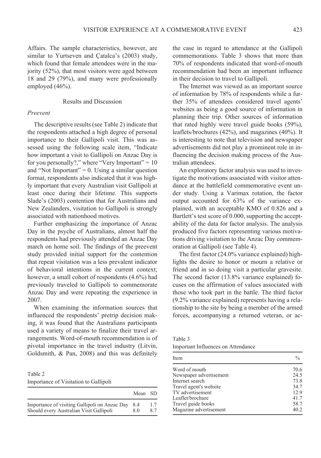Affairs. The sample characteristics, however, are similar to Yurtseven and Catalca's (2003) study, which found that female attendees were in the majority (52%), that most visitors were aged between 18 and 29 (79%), and many were professionally employed (46%).

# **Results and Discussion**

#### Preevent

The descriptive results (see Table 2) indicate that the respondents attached a high degree of personal importance to their Gallipoli visit. This was assessed using the following scale item, "Indicate how important a visit to Gallipoli on Anzac Day is for you personally?," where "Very Important" =  $10$ and "Not Important" =  $0$ . Using a similar question format, respondents also indicated that it was highly important that every Australian visit Gallipoli at least once during their lifetime. This supports Slade's (2003) contention that for Australians and New Zealanders, visitation to Gallipoli is strongly associated with nationhood motives.

Further emphasizing the importance of Anzac Day in the psyche of Australians, almost half the respondents had previously attended an Anzac Day march on home soil. The findings of the preevent study provided initial support for the contention that repeat visitation was a less prevalent indicator of behavioral intentions in the current context: however, a small cohort of respondents (4.6%) had previously traveled to Gallipoli to commemorate Anzac Day and were repeating the experience in 2007

When examining the information sources that influenced the respondents' pretrip decision making, it was found that the Australians participants used a variety of means to finalize their travel arrangements. Word-of-mouth recommendation is of pivotal importance in the travel industry (Litvin, Goldsmith, & Pan, 2008) and this was definitely

Table 2 Importance of Visitation to Gallipoli

|                                               | Mean SD |    |
|-----------------------------------------------|---------|----|
| Importance of visiting Gallipoli on Anzac Day | 8.4     | 17 |
| Should every Australian Visit Gallipoli       | 80      | 87 |

the case in regard to attendance at the Gallipoli commemorations. Table 3 shows that more than 70% of respondents indicated that word-of-mouth recommendation had been an important influence in their decision to travel to Gallipoli.

The Internet was viewed as an important source of information by 78% of respondents while a further 35% of attendees considered travel agents' websites as being a good source of information in planning their trip. Other sources of information that rated highly were travel guide books  $(59\%)$ , leaflets/brochures (42%), and magazines (40%). It is interesting to note that television and newspaper advertisements did not play a prominent role in influencing the decision making process of the Australian attendees.

An exploratory factor analysis was used to investigate the motivations associated with visitor attendance at the battlefield commemorative event under study. Using a Varimax rotation, the factor output accounted for 63% of the variance explained, with an acceptable KMO of 0.826 and a Bartlett's test score of 0.000, supporting the acceptability of the data for factor analysis. The analysis produced five factors representing various motivations driving visitation to the Anzac Day commemoration at Gallipoli (see Table 4).

The first factor  $(24.0\%$  variance explained) highlights the desire to honor or mourn a relative or friend and in so doing visit a particular gravesite. The second factor  $(13.8\% \text{ variance explained})$  focuses on the affirmation of values associated with those who took part in the battle. The third factor  $(9.2\%$  variance explained) represents having a relationship to the site by being a member of the armed forces, accompanying a returned veteran, or ac-

Table 3

Important Influences on Attendance

| Item                    | $\frac{0}{0}$ |
|-------------------------|---------------|
| Word of mouth           | 70.6          |
| Newspaper advertisement | 24.5          |
| Internet search         | 73.8          |
| Travel agent's website  | 34.7          |
| TV advertisement        | 12.9          |
| Leaflet/brochure        | 41.7          |
| Travel guide books      | 58.7          |
| Magazine advertisement  | 40.2          |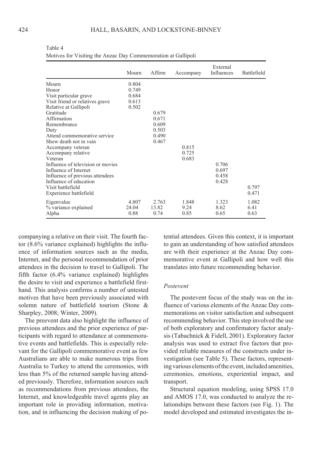#### HALL, BASARIN, AND LOCKSTONE-BINNEY

|                                   | Mourn | Affirm | Accompany | External<br>Influences | Battlefield |
|-----------------------------------|-------|--------|-----------|------------------------|-------------|
| Mourn                             | 0.804 |        |           |                        |             |
| Honor                             | 0.749 |        |           |                        |             |
| Visit particular grave            | 0.684 |        |           |                        |             |
| Visit friend or relatives grave   | 0.613 |        |           |                        |             |
| Relative at Gallipoli             | 0.502 |        |           |                        |             |
| Gratitude                         |       | 0.679  |           |                        |             |
| Affirmation                       |       | 0.671  |           |                        |             |
| Remembrance                       |       | 0.609  |           |                        |             |
| Duty                              |       | 0.503  |           |                        |             |
| Attend commemorative service      |       | 0.490  |           |                        |             |
| Show death not in vain            |       | 0.467  |           |                        |             |
| Accompany veteran                 |       |        | 0.815     |                        |             |
| Accompany relative                |       |        | 0.725     |                        |             |
| Veteran                           |       |        | 0.683     |                        |             |
| Influence of television or movies |       |        |           | 0.706                  |             |
| Influence of Internet             |       |        |           | 0.697                  |             |
| Influence of previous attendees   |       |        |           | 0.458                  |             |
| Influence of education            |       |        |           | 0.428                  |             |
| Visit battlefield                 |       |        |           |                        | 0.797       |
| Experience battlefield            |       |        |           |                        | 0.471       |
| Eigenvalue                        | 4.807 | 2.763  | 1.848     | 1.323                  | 1.082       |
| % variance explained              | 24.04 | 13.82  | 9.24      | 8.62                   | 6.41        |
| Alpha                             | 0.88  | 0.74   | 0.85      | 0.65                   | 0.63        |

Table 4 Motives for Visiting the Anzac Day Commemoration at Gallipoli

companying a relative on their visit. The fourth factor  $(8.6\%$  variance explained) highlights the influence of information sources such as the media. Internet, and the personal recommendation of prior attendees in the decision to travel to Gallipoli. The fifth factor (6.4% variance explained) highlights the desire to visit and experience a battlefield firsthand. This analysis confirms a number of untested motives that have been previously associated with solemn nature of battlefield tourism (Stone & Sharpley, 2008; Winter, 2009).

The preevent data also highlight the influence of previous attendees and the prior experience of participants with regard to attendance at commemorative events and battlefields. This is especially relevant for the Gallipoli commemorative event as few Australians are able to make numerous trips from Australia to Turkey to attend the ceremonies, with less than 5% of the returned sample having attended previously. Therefore, information sources such as recommendations from previous attendees, the Internet, and knowledgeable travel agents play an important role in providing information, motivation, and in influencing the decision making of potential attendees. Given this context, it is important to gain an understanding of how satisfied attendees are with their experience at the Anzac Day commemorative event at Gallipoli and how well this translates into future recommending behavior.

#### Postevent

The postevent focus of the study was on the influence of various elements of the Anzac Day commemorations on visitor satisfaction and subsequent recommending behavior. This step involved the use of both exploratory and confirmatory factor analysis (Tabachnick & Fidell, 2001). Exploratory factor analysis was used to extract five factors that provided reliable measures of the constructs under investigation (see Table 5). These factors, representing various elements of the event, included amenities, ceremonies, emotions, experiential impact, and transport.

Structural equation modeling, using SPSS 17.0 and AMOS 17.0, was conducted to analyze the relationships between these factors (see Fig. 1). The model developed and estimated investigates the in-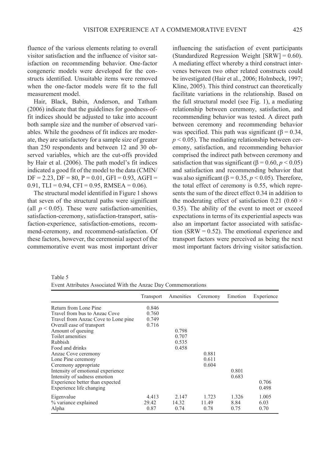fluence of the various elements relating to overall visitor satisfaction and the influence of visitor satisfaction on recommending behavior One-factor congeneric models were developed for the constructs identified Unsuitable items were removed when the one-factor models were fit to the full measurement model

Hair, Black, Babin, Anderson, and Tatham (2006) indicate that the guidelines for goodness-offit indices should be adjusted to take into account both sample size and the number of observed variables. While the goodness of fit indices are moderate, they are satisfactory for a sample size of greater than 250 respondents and between 12 and 30 observed variables, which are the cut-offs provided by Hair et al. (2006). The path model's fit indices indicated a good fit of the model to the data (CMIN/  $DF = 2.23$ ,  $DF = 80$ ,  $P = 0.01$ ,  $GFI = 0.93$ ,  $AGFI =$ 0.91, TLI = 0.94, CFI = 0.95, RMSEA = 0.06).

The structural model identified in Figure 1 shows that seven of the structural paths were significant (all  $p < 0.05$ ). These were satisfaction-amenities, satisfaction-ceremony, satisfaction-transport, satisfaction-experience, satisfaction-emotions, recommend-ceremony, and recommend-satisfaction. Of these factors, however, the ceremonial aspect of the commemorative event was most important driver

influencing the satisfaction of event participants (Standardized Regression Weight  $[SRW] = 0.60$ ). A mediating effect whereby a third construct intervenes between two other related constructs could be investigated (Hair et al., 2006; Holmbeck, 1997; Kline, 2005). This third construct can theoretically facilitate variations in the relationship. Based on the full structural model (see Fig. 1), a mediating relationship between ceremony, satisfaction, and recommending behavior was tested. A direct path between ceremony and recommending behavior was specified. This path was significant ( $\beta$  = 0.34,  $p \le 0.05$ ). The mediating relationship between ceremony, satisfaction, and recommending behavior comprised the indirect path between ceremony and satisfaction that was significant ( $\beta$  = 0.60,  $p$  < 0.05) and satisfaction and recommending behavior that was also significant ( $\beta$  = 0.35,  $p$  < 0.05). Therefore, the total effect of ceremony is 0.55, which represents the sum of the direct effect 0.34 in addition to the moderating effect of satisfaction 0.21 (0.60  $\times$ 0.35). The ability of the event to meet or exceed expectations in terms of its experiential aspects was also an important factor associated with satisfaction (SRW =  $0.52$ ). The emotional experience and transport factors were perceived as being the next most important factors driving visitor satisfaction.

Table 5

Event Attributes Associated With the Anzac Day Commemorations

|                                     | Transport | Amenities | Ceremony | Emotion | Experience |
|-------------------------------------|-----------|-----------|----------|---------|------------|
| Return from Lone Pine               | 0.846     |           |          |         |            |
| Travel from bus to Anzac Cove       | 0.760     |           |          |         |            |
| Travel from Anzac Cove to Lone pine | 0.749     |           |          |         |            |
| Overall ease of transport           | 0.716     |           |          |         |            |
| Amount of queuing                   |           | 0.798     |          |         |            |
| Toilet amenities                    |           | 0.707     |          |         |            |
| Rubbish                             |           | 0.535     |          |         |            |
| Food and drinks                     |           | 0.458     |          |         |            |
| Anzac Cove ceremony                 |           |           | 0.881    |         |            |
| Lone Pine ceremony                  |           |           | 0.611    |         |            |
| Ceremony appropriate                |           |           | 0.604    |         |            |
| Intensity of emotional experience   |           |           |          | 0.801   |            |
| Intensity of sadness emotion        |           |           |          | 0.683   |            |
| Experience better than expected     |           |           |          |         | 0.706      |
| Experience life changing            |           |           |          |         | 0.498      |
| Eigenvalue                          | 4.413     | 2.147     | 1.723    | 1.326   | 1.005      |
| % variance explained                | 29.42     | 14.32     | 11.49    | 8.84    | 6.03       |
| Alpha                               | 0.87      | 0.74      | 0.78     | 0.75    | 0.70       |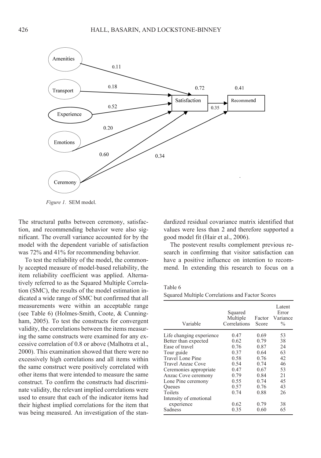

Figure 1. SEM model.

The structural paths between ceremony, satisfaction, and recommending behavior were also significant. The overall variance accounted for by the model with the dependent variable of satisfaction was 72% and 41% for recommending behavior.

To test the reliability of the model, the commonly accepted measure of model-based reliability, the item reliability coefficient was applied. Alternatively referred to as the Squared Multiple Correlation (SMC), the results of the model estimation indicated a wide range of SMC but confirmed that all measurements were within an acceptable range (see Table 6) (Holmes-Smith, Coote, & Cunningham, 2005). To test the constructs for convergent validity, the correlations between the items measuring the same constructs were examined for any excessive correlation of 0.8 or above (Malhotra et al., 2000). This examination showed that there were no excessively high correlations and all items within the same construct were positively correlated with other items that were intended to measure the same construct. To confirm the constructs had discriminate validity, the relevant implied correlations were used to ensure that each of the indicator items had their highest implied correlations for the item that was being measured. An investigation of the standardized residual covariance matrix identified that values were less than 2 and therefore supported a good model fit (Hair et al., 2006).

The postevent results complement previous research in confirming that visitor satisfaction can have a positive influence on intention to recommend. In extending this research to focus on a

| Variable                 | Squared<br>Multiple<br>Correlations | Factor<br>Score | Latent<br>Error<br>Variance<br>$\frac{0}{0}$ |
|--------------------------|-------------------------------------|-----------------|----------------------------------------------|
| Life changing experience | 0.47                                | 0.69            | 53                                           |
| Better than expected     | 0.62                                | 0.79            | 38                                           |
| Ease of travel           | 0.76                                | 0.87            | 24                                           |
| Tour guide               | 0.37                                | 0.64            | 63                                           |
| Travel Lone Pine         | 0.58                                | 0.76            | 42                                           |
| Travel Anzac Cove        | 0.54                                | 0.74            | 46                                           |
| Ceremonies appropriate   | 0.47                                | 0.67            | 53                                           |
| Anzac Cove ceremony      | 0.79                                | 0.84            | 21                                           |
| Lone Pine ceremony       | 0.55                                | 0.74            | 45                                           |
| <b>Oueues</b>            | 0.57                                | 0.76            | 43                                           |
| Toilets                  | 0.74                                | 0.88            | 26                                           |
| Intensity of emotional   |                                     |                 |                                              |
| experience               | 0.62                                | 0.79            | 38                                           |
| Sadness                  | 0.35                                | 0.60            | 65                                           |

|  | Squared Multiple Correlations and Factor Scores |  |  |
|--|-------------------------------------------------|--|--|
|  |                                                 |  |  |

Table 6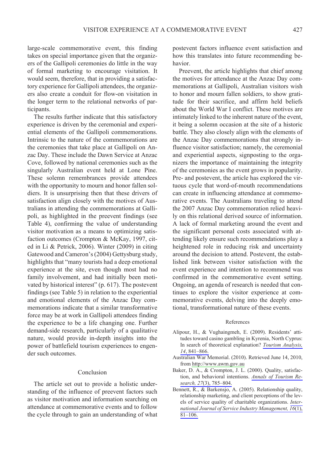large-scale commemorative event, this finding takes on special importance given that the organizers of the Gallipoli ceremonies do little in the way of formal marketing to encourage visitation. It would seem, therefore, that in providing a satisfactory experience for Gallipoli attendees, the organizers also create a conduit for flow-on visitation in the longer term to the relational networks of participants.

The results further indicate that this satisfactory experience is driven by the ceremonial and experiential elements of the Gallipoli commemorations. Intrinsic to the nature of the commemorations are the ceremonies that take place at Gallipoli on Anzac Day. These include the Dawn Service at Anzac Cove, followed by national ceremonies such as the singularly Australian event held at Lone Pine. These solemn remembrances provide attendees with the opportunity to mourn and honor fallen soldiers. It is unsurprising then that these drivers of satisfaction align closely with the motives of Australians in attending the commemorations at Gallipoli, as highlighted in the preevent findings (see Table 4), confirming the value of understanding visitor motivation as a means to optimizing satisfaction outcomes (Crompton & McKay, 1997, cited in Li & Petrick, 2006). Winter (2009) in citing Gatewood and Cameron's (2004) Gettysburg study. highlights that "many tourists had a deep emotional experience at the site, even though most had no family involvement, and had initially been motivated by historical interest" (p. 617). The postevent findings (see Table 5) in relation to the experiential and emotional elements of the Anzac Day commemorations indicate that a similar transformative force may be at work in Gallipoli attendees finding the experience to be a life changing one. Further demand-side research, particularly of a qualitative nature, would provide in-depth insights into the power of battlefield tourism experiences to engender such outcomes

# Conclusion

The article set out to provide a holistic understanding of the influence of preevent factors such as visitor motivation and information searching on attendance at commemorative events and to follow the cycle through to gain an understanding of what postevent factors influence event satisfaction and how this translates into future recommending behavior.

Preevent, the article highlights that chief among the motives for attendance at the Anzac Day commemorations at Gallipoli, Australian visitors wish to honor and mourn fallen soldiers, to show gratitude for their sacrifice, and affirm held beliefs about the World War I conflict. These motives are intimately linked to the inherent nature of the event, it being a solemn occasion at the site of a historic battle. They also closely align with the elements of the Anzac Day commemorations that strongly influence visitor satisfaction; namely, the ceremonial and experiential aspects, signposting to the organizers the importance of maintaining the integrity of the ceremonies as the event grows in popularity. Pre- and postevent, the article has explored the virtuous cycle that word-of-mouth recommendations can create in influencing attendance at commemorative events. The Australians traveling to attend the 2007 Anzac Day commemoration relied heavily on this relational derived source of information. A lack of formal marketing around the event and the significant personal costs associated with attending likely ensure such recommendations play a heightened role in reducing risk and uncertainty around the decision to attend. Postevent, the established link between visitor satisfaction with the event experience and intention to recommend was confirmed in the commemorative event setting. Ongoing, an agenda of research is needed that continues to explore the visitor experience at commemorative events, delving into the deeply emotional, transformational nature of these events.

#### References

- Alipour, H., & Vughaingmeh, E. (2009). Residents' attitudes toward casino gambling in Kyrenia, North Cyprus: In search of theoretical explanation? Tourism Analysis, 14, 841-866.
- Australian War Memorial. (2010). Retrieved June 14, 2010, from http://www.awm.gov.au
- Baker, D. A., & Crompton, J. L. (2000). Quality, satisfaction, and behavioral intentions. Annals of Tourism Research, 27(3), 785-804.
- Bennett, R., & Barkensjo, A. (2005). Relationship quality, relationship marketing, and client perceptions of the levels of service quality of charitable organizations. International Journal of Service Industry Management,  $\overline{16(1)}$ ,  $81 - 106$ .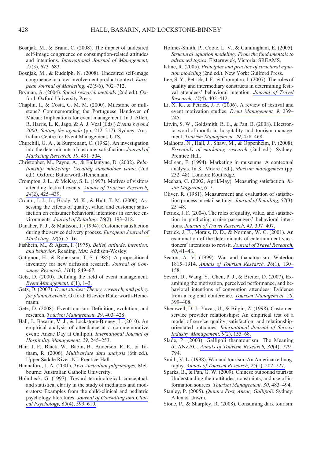- Bosnjak, M., & Brand, C. (2008). The impact of undesired self-image congruence on consumption-related attitudes and intentions. International Journal of Management,  $25(3)$ , 673-683.
- Bosnjak, M., & Rudolph, N. (2008). Undesired self-image congruence in a low-involvement product context. European Journal of Marketing, 42(5/6), 702-712.
- Bryman, A. (2004). Social research methods (2nd ed.). Oxford: Oxford University Press.
- Chaplin, I., & Costa, C. M. M. (2000). Milestone or millstone? Commemorating the Portuguese Handover of Macau: Implications for event management. In J. Allen, R. Harris, L. K. Jago, & A. J. Veal (Eds.) Events beyond 2000: Setting the agenda (pp. 212-217). Sydney: Australian Centre for Event Management, UTS.
- Churchill, G. A., & Surprenant, C. (1982). An investigation into the determinants of customer satisfaction. Journal of Marketing Research, 19, 491-504.
- Christopher, M., Payne, A., & Ballantyne, D. (2002). Relationship marketing: Creating stakeholder value (2nd ed.). Oxford: Butterworth-Heinemann.
- Crompton, J. L., & McKay, S. L. (1997). Motives of visitors attending festival events. Annals of Tourism Research, 24(2), 425-439.
- Cronin, J. J., Jr., Brady, M. K., & Hult, T. M. (2000), Assessing the effects of quality, value, and customer satisfaction on consumer behavioral intentions in service environments. Journal of Retailing. 76(2), 193-218.
- Danaher, P. J., & Mattsson, J. (1994). Customer satisfaction during the service delivery process. European Journal of Marketing, 28(5), 5-16.
- Fishbein, M., & Ajzen, I. (1975). Belief, attitude, intention, and behavior. Reading, MA: Addison-Wesley.
- Gatignon, H., & Robertson, T. S. (1985). A propositional inventory for new diffusion research. Journal of Consumer Research, 11(4), 849-67.
- Getz, D. (2000). Defining the field of event management. Event Management,  $6(1)$ , 1-3.
- Getz, D. (2007). Event studies: Theory, research, and policy for planned events. Oxford: Elsevier Butterworth-Heinemann.
- Getz, D. (2008). Event tourism: Definition, evolution, and research. Tourism Management, 29, 403-428.
- Hall, J., Basarin, V. J., & Lockstone-Binney, L. (2010). An empirical analysis of attendance at a commemorative event: Anzac Day at Gallipoli. International Journal of Hospitality Management, 29, 245-253.
- Hair, J. F., Black, W., Babin, B., Anderson, R. E., & Tatham, R. (2006). Multivariate data analysis (6th ed.). Upper Saddle River, NJ: Prentice-Hall.
- Hannaford, J. A. (2001). Two Australian pilgrimages. Melbourne: Australian Catholic University.
- Holmbeck, G. (1997). Toward terminological, conceptual, and statistical clarity in the study of mediators and moderators: Examples from the child-clinical and pediatric psychology literatures. Journal of Consulting and Clinical Psychology, 65(4), 599-610.
- Holmes-Smith, P., Coote, L. V., & Cunningham, E. (2005). Structural equation modeling: From the fundamentals to advanced topics. Elsternwick, Victoria: SREAMS.
- Kline, R. (2005). Principles and practice of structural equation modeling (2nd ed.). New York: Guilford Press.
- Lee, S. Y., Petrick, J. F., & Crompton, J. (2007). The roles of quality and intermediary constructs in determining festival attendees' behavioral intention. Journal of Travel Research, 45(4), 402-412.
- Li,  $\overline{X}$ ,  $\overline{R}$ ,  $\&$  Petrick, J. F. (2006). A review of festival and event motivation studies. Event Management, 9, 239-245.
- Litvin, S. W., Goldsmith, R. E., & Pan, B. (2008). Electronic word-of-mouth in hospitality and tourism management. Tourism Management, 29, 458-468.
- Malhotra, N., Hall, J., Shaw, M., & Oppenheim, P. (2008). Essentials of marketing research (2nd ed.). Sydney: Prentice Hall.
- McLean, F. (1994). Marketing in museums: A contextual analysis. In K. Moore (Ed.), Museum management (pp. 232-48). London: Routledge.
- Meehan, C. (2002, April/May). Measuring satisfaction. Insite Magazine, 6-7.
- Oliver, R. (1981). Measurement and evaluation of satisfaction process in retail settings. Journal of Retailing. 57(3).  $25 - 48$ .
- Petrick, J. F. (2004). The roles of quality, value, and satisfaction in predicting cruise passengers' behavioral intentions. Journal of Travel Research, 42, 397-407.
- Petrick, J. F., Morais, D. D., & Norman, W. C. (2001). An examination of the determinants of entertainment vacationers' intentions to revisit. Journal of Travel Research,  $40.41 - 48.$
- Seaton, A. V. (1999). War and thanatourism: Waterloo 1815-1914. Annals of Tourism Research, 26(1), 130-158.
- Severt, D., Wang, Y., Chen, P. J., & Breiter, D. (2007). Examining the motivation, perceived performance, and behavioral intentions of convention attendees: Evidence from a regional conference. Tourism Management, 28, 399-408.
- Shemwell, D. J., Yavas, U., & Bilgin, Z. (1998). Customerservice provider relationships: An empirical test of a model of service quality, satisfaction, and relationshiporientated outcomes. International Journal of Service Industry Management, 9(2), 155-68.
- Slade, P. (2003). Gallipoli thanatourism: The Meaning of ANZAC. Annals of Tourism Research, 30(4), 779-794.
- Smith, V. L. (1998). War and tourism: An American ethnography. Annals of Tourism Research, 25(1), 202-227.
- Sparks, B., & Pan, G. W. (2009). Chinese outbound tourists: Understanding their attitudes, constraints, and use of information sources. Tourism Management, 30, 483-494.
- Stanley, P. (2005). *Ouinn's Post. Anzac. Gallipoli*. Sydney: Allen & Unwin.
- Stone, P., & Sharpley, R. (2008). Consuming dark tourism: